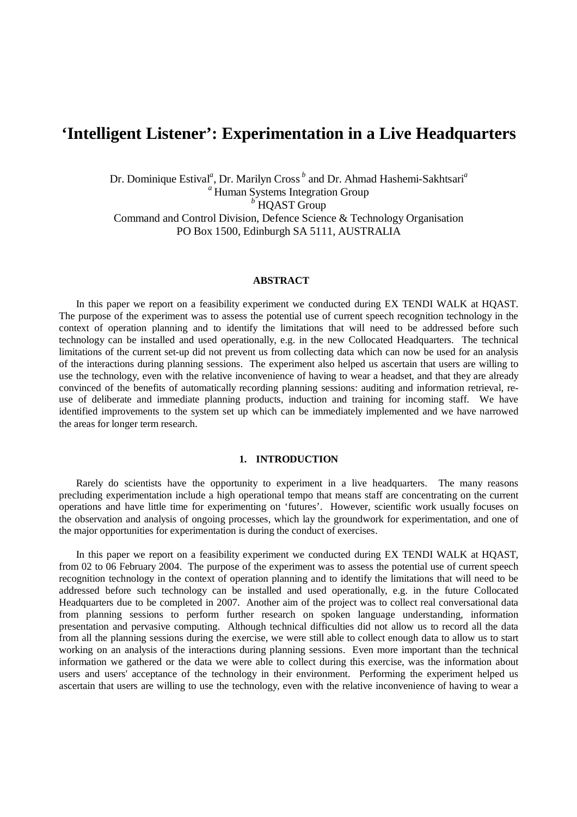# **'Intelligent Listener': Experimentation in a Live Headquarters**

Dr. Dominique Estival*<sup>a</sup>* , Dr. Marilyn Cross*<sup>b</sup>* and Dr. Ahmad Hashemi-Sakhtsari*<sup>a</sup> <sup>a</sup>* Human Systems Integration Group *b* HQAST Group Command and Control Division, Defence Science & Technology Organisation PO Box 1500, Edinburgh SA 5111, AUSTRALIA

## **ABSTRACT**

In this paper we report on a feasibility experiment we conducted during EX TENDI WALK at HQAST. The purpose of the experiment was to assess the potential use of current speech recognition technology in the context of operation planning and to identify the limitations that will need to be addressed before such technology can be installed and used operationally, e.g. in the new Collocated Headquarters. The technical limitations of the current set-up did not prevent us from collecting data which can now be used for an analysis of the interactions during planning sessions. The experiment also helped us ascertain that users are willing to use the technology, even with the relative inconvenience of having to wear a headset, and that they are already convinced of the benefits of automatically recording planning sessions: auditing and information retrieval, reuse of deliberate and immediate planning products, induction and training for incoming staff. We have identified improvements to the system set up which can be immediately implemented and we have narrowed the areas for longer term research.

# **1. INTRODUCTION**

Rarely do scientists have the opportunity to experiment in a live headquarters. The many reasons precluding experimentation include a high operational tempo that means staff are concentrating on the current operations and have little time for experimenting on 'futures'. However, scientific work usually focuses on the observation and analysis of ongoing processes, which lay the groundwork for experimentation, and one of the major opportunities for experimentation is during the conduct of exercises.

In this paper we report on a feasibility experiment we conducted during EX TENDI WALK at HQAST, from 02 to 06 February 2004. The purpose of the experiment was to assess the potential use of current speech recognition technology in the context of operation planning and to identify the limitations that will need to be addressed before such technology can be installed and used operationally, e.g. in the future Collocated Headquarters due to be completed in 2007. Another aim of the project was to collect real conversational data from planning sessions to perform further research on spoken language understanding, information presentation and pervasive computing. Although technical difficulties did not allow us to record all the data from all the planning sessions during the exercise, we were still able to collect enough data to allow us to start working on an analysis of the interactions during planning sessions. Even more important than the technical information we gathered or the data we were able to collect during this exercise, was the information about users and users' acceptance of the technology in their environment. Performing the experiment helped us ascertain that users are willing to use the technology, even with the relative inconvenience of having to wear a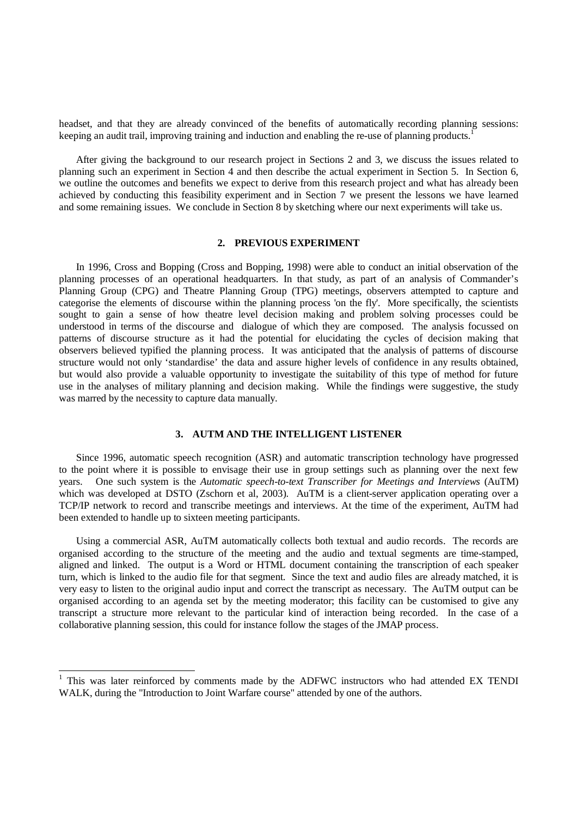headset, and that they are already convinced of the benefits of automatically recording planning sessions: keeping an audit trail, improving training and induction and enabling the re-use of planning products.

After giving the background to our research project in Sections 2 and 3, we discuss the issues related to planning such an experiment in Section 4 and then describe the actual experiment in Section 5. In Section 6, we outline the outcomes and benefits we expect to derive from this research project and what has already been achieved by conducting this feasibility experiment and in Section 7 we present the lessons we have learned and some remaining issues. We conclude in Section 8 by sketching where our next experiments will take us.

# **2. PREVIOUS EXPERIMENT**

In 1996, Cross and Bopping (Cross and Bopping, 1998) were able to conduct an initial observation of the planning processes of an operational headquarters. In that study, as part of an analysis of Commander's Planning Group (CPG) and Theatre Planning Group (TPG) meetings, observers attempted to capture and categorise the elements of discourse within the planning process 'on the fly'. More specifically, the scientists sought to gain a sense of how theatre level decision making and problem solving processes could be understood in terms of the discourse and dialogue of which they are composed. The analysis focussed on patterns of discourse structure as it had the potential for elucidating the cycles of decision making that observers believed typified the planning process. It was anticipated that the analysis of patterns of discourse structure would not only 'standardise' the data and assure higher levels of confidence in any results obtained, but would also provide a valuable opportunity to investigate the suitability of this type of method for future use in the analyses of military planning and decision making. While the findings were suggestive, the study was marred by the necessity to capture data manually.

# **3. AUTM AND THE INTELLIGENT LISTENER**

Since 1996, automatic speech recognition (ASR) and automatic transcription technology have progressed to the point where it is possible to envisage their use in group settings such as planning over the next few years. One such system is the *Automatic speech-to-text Transcriber for Meetings and Interviews* (AuTM) which was developed at DSTO (Zschorn et al, 2003). AuTM is a client-server application operating over a TCP/IP network to record and transcribe meetings and interviews. At the time of the experiment, AuTM had been extended to handle up to sixteen meeting participants.

Using a commercial ASR, AuTM automatically collects both textual and audio records. The records are organised according to the structure of the meeting and the audio and textual segments are time-stamped, aligned and linked. The output is a Word or HTML document containing the transcription of each speaker turn, which is linked to the audio file for that segment. Since the text and audio files are already matched, it is very easy to listen to the original audio input and correct the transcript as necessary. The AuTM output can be organised according to an agenda set by the meeting moderator; this facility can be customised to give any transcript a structure more relevant to the particular kind of interaction being recorded. In the case of a collaborative planning session, this could for instance follow the stages of the JMAP process.

<sup>&</sup>lt;sup>1</sup> This was later reinforced by comments made by the ADFWC instructors who had attended EX TENDI WALK, during the "Introduction to Joint Warfare course" attended by one of the authors.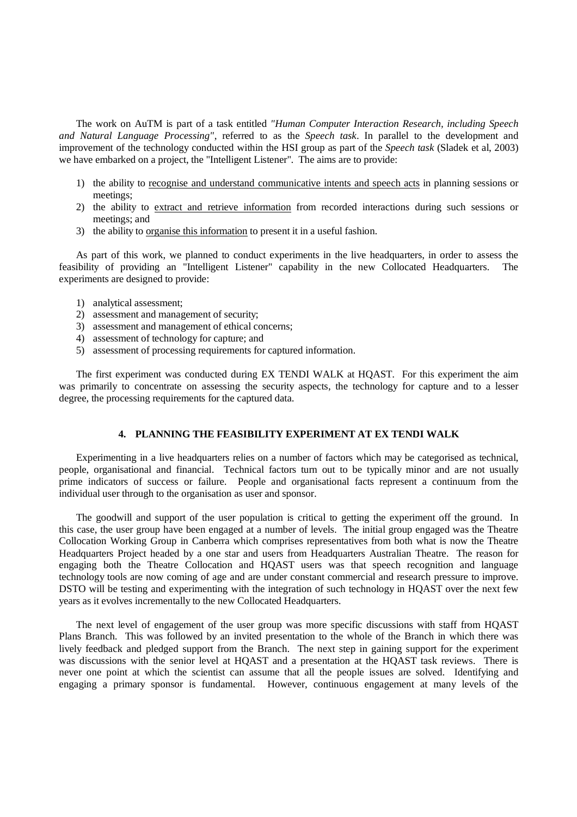The work on AuTM is part of a task entitled *"Human Computer Interaction Research, including Speech and Natural Language Processing"*, referred to as the *Speech task*. In parallel to the development and improvement of the technology conducted within the HSI group as part of the *Speech task* (Sladek et al, 2003) we have embarked on a project, the "Intelligent Listener". The aims are to provide:

- 1) the ability to recognise and understand communicative intents and speech acts in planning sessions or meetings;
- 2) the ability to extract and retrieve information from recorded interactions during such sessions or meetings; and
- 3) the ability to organise this information to present it in a useful fashion.

As part of this work, we planned to conduct experiments in the live headquarters, in order to assess the feasibility of providing an "Intelligent Listener" capability in the new Collocated Headquarters. The experiments are designed to provide:

- 1) analytical assessment;
- 2) assessment and management of security;
- 3) assessment and management of ethical concerns;
- 4) assessment of technology for capture; and
- 5) assessment of processing requirements for captured information.

The first experiment was conducted during EX TENDI WALK at HQAST. For this experiment the aim was primarily to concentrate on assessing the security aspects, the technology for capture and to a lesser degree, the processing requirements for the captured data.

# **4. PLANNING THE FEASIBILITY EXPERIMENT AT EX TENDI WALK**

Experimenting in a live headquarters relies on a number of factors which may be categorised as technical, people, organisational and financial. Technical factors turn out to be typically minor and are not usually prime indicators of success or failure. People and organisational facts represent a continuum from the individual user through to the organisation as user and sponsor.

The goodwill and support of the user population is critical to getting the experiment off the ground. In this case, the user group have been engaged at a number of levels. The initial group engaged was the Theatre Collocation Working Group in Canberra which comprises representatives from both what is now the Theatre Headquarters Project headed by a one star and users from Headquarters Australian Theatre. The reason for engaging both the Theatre Collocation and HQAST users was that speech recognition and language technology tools are now coming of age and are under constant commercial and research pressure to improve. DSTO will be testing and experimenting with the integration of such technology in HQAST over the next few years as it evolves incrementally to the new Collocated Headquarters.

The next level of engagement of the user group was more specific discussions with staff from HQAST Plans Branch. This was followed by an invited presentation to the whole of the Branch in which there was lively feedback and pledged support from the Branch. The next step in gaining support for the experiment was discussions with the senior level at HQAST and a presentation at the HQAST task reviews. There is never one point at which the scientist can assume that all the people issues are solved. Identifying and engaging a primary sponsor is fundamental. However, continuous engagement at many levels of the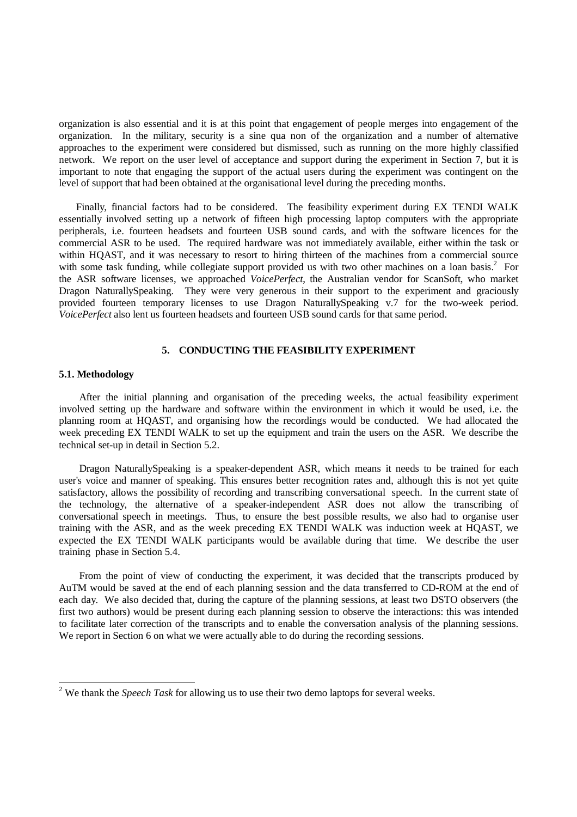organization is also essential and it is at this point that engagement of people merges into engagement of the organization. In the military, security is a sine qua non of the organization and a number of alternative approaches to the experiment were considered but dismissed, such as running on the more highly classified network. We report on the user level of acceptance and support during the experiment in Section 7, but it is important to note that engaging the support of the actual users during the experiment was contingent on the level of support that had been obtained at the organisational level during the preceding months.

Finally, financial factors had to be considered. The feasibility experiment during EX TENDI WALK essentially involved setting up a network of fifteen high processing laptop computers with the appropriate peripherals, i.e. fourteen headsets and fourteen USB sound cards, and with the software licences for the commercial ASR to be used. The required hardware was not immediately available, either within the task or within HQAST, and it was necessary to resort to hiring thirteen of the machines from a commercial source with some task funding, while collegiate support provided us with two other machines on a loan basis.<sup>2</sup> For the ASR software licenses, we approached *VoicePerfect*, the Australian vendor for ScanSoft, who market Dragon NaturallySpeaking. They were very generous in their support to the experiment and graciously provided fourteen temporary licenses to use Dragon NaturallySpeaking v.7 for the two-week period. *VoicePerfect* also lent us fourteen headsets and fourteen USB sound cards for that same period.

# **5. CONDUCTING THE FEASIBILITY EXPERIMENT**

#### **5.1. Methodology**

 $\overline{a}$ 

 After the initial planning and organisation of the preceding weeks, the actual feasibility experiment involved setting up the hardware and software within the environment in which it would be used, i.e. the planning room at HQAST, and organising how the recordings would be conducted. We had allocated the week preceding EX TENDI WALK to set up the equipment and train the users on the ASR. We describe the technical set-up in detail in Section 5.2.

 Dragon NaturallySpeaking is a speaker-dependent ASR, which means it needs to be trained for each user's voice and manner of speaking. This ensures better recognition rates and, although this is not yet quite satisfactory, allows the possibility of recording and transcribing conversational speech. In the current state of the technology, the alternative of a speaker-independent ASR does not allow the transcribing of conversational speech in meetings. Thus, to ensure the best possible results, we also had to organise user training with the ASR, and as the week preceding EX TENDI WALK was induction week at HQAST, we expected the EX TENDI WALK participants would be available during that time. We describe the user training phase in Section 5.4.

 From the point of view of conducting the experiment, it was decided that the transcripts produced by AuTM would be saved at the end of each planning session and the data transferred to CD-ROM at the end of each day. We also decided that, during the capture of the planning sessions, at least two DSTO observers (the first two authors) would be present during each planning session to observe the interactions: this was intended to facilitate later correction of the transcripts and to enable the conversation analysis of the planning sessions. We report in Section 6 on what we were actually able to do during the recording sessions.

<sup>&</sup>lt;sup>2</sup> We thank the *Speech Task* for allowing us to use their two demo laptops for several weeks.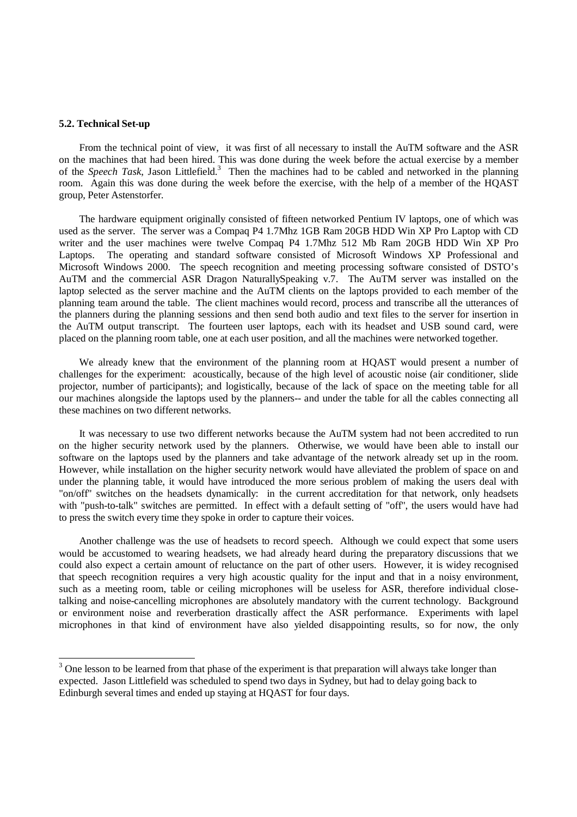#### **5.2. Technical Set-up**

 $\overline{a}$ 

 From the technical point of view, it was first of all necessary to install the AuTM software and the ASR on the machines that had been hired. This was done during the week before the actual exercise by a member of the *Speech Task*, Jason Littlefield.<sup>3</sup> Then the machines had to be cabled and networked in the planning room. Again this was done during the week before the exercise, with the help of a member of the HQAST group, Peter Astenstorfer.

 The hardware equipment originally consisted of fifteen networked Pentium IV laptops, one of which was used as the server. The server was a Compaq P4 1.7Mhz 1GB Ram 20GB HDD Win XP Pro Laptop with CD writer and the user machines were twelve Compaq P4 1.7Mhz 512 Mb Ram 20GB HDD Win XP Pro Laptops. The operating and standard software consisted of Microsoft Windows XP Professional and Microsoft Windows 2000. The speech recognition and meeting processing software consisted of DSTO's AuTM and the commercial ASR Dragon NaturallySpeaking v.7. The AuTM server was installed on the laptop selected as the server machine and the AuTM clients on the laptops provided to each member of the planning team around the table. The client machines would record, process and transcribe all the utterances of the planners during the planning sessions and then send both audio and text files to the server for insertion in the AuTM output transcript. The fourteen user laptops, each with its headset and USB sound card, were placed on the planning room table, one at each user position, and all the machines were networked together.

 We already knew that the environment of the planning room at HQAST would present a number of challenges for the experiment: acoustically, because of the high level of acoustic noise (air conditioner, slide projector, number of participants); and logistically, because of the lack of space on the meeting table for all our machines alongside the laptops used by the planners-- and under the table for all the cables connecting all these machines on two different networks.

 It was necessary to use two different networks because the AuTM system had not been accredited to run on the higher security network used by the planners. Otherwise, we would have been able to install our software on the laptops used by the planners and take advantage of the network already set up in the room. However, while installation on the higher security network would have alleviated the problem of space on and under the planning table, it would have introduced the more serious problem of making the users deal with "on/off" switches on the headsets dynamically: in the current accreditation for that network, only headsets with "push-to-talk" switches are permitted. In effect with a default setting of "off", the users would have had to press the switch every time they spoke in order to capture their voices.

 Another challenge was the use of headsets to record speech. Although we could expect that some users would be accustomed to wearing headsets, we had already heard during the preparatory discussions that we could also expect a certain amount of reluctance on the part of other users. However, it is widey recognised that speech recognition requires a very high acoustic quality for the input and that in a noisy environment, such as a meeting room, table or ceiling microphones will be useless for ASR, therefore individual closetalking and noise-cancelling microphones are absolutely mandatory with the current technology. Background or environment noise and reverberation drastically affect the ASR performance. Experiments with lapel microphones in that kind of environment have also yielded disappointing results, so for now, the only

<sup>&</sup>lt;sup>3</sup> One lesson to be learned from that phase of the experiment is that preparation will always take longer than expected. Jason Littlefield was scheduled to spend two days in Sydney, but had to delay going back to Edinburgh several times and ended up staying at HQAST for four days.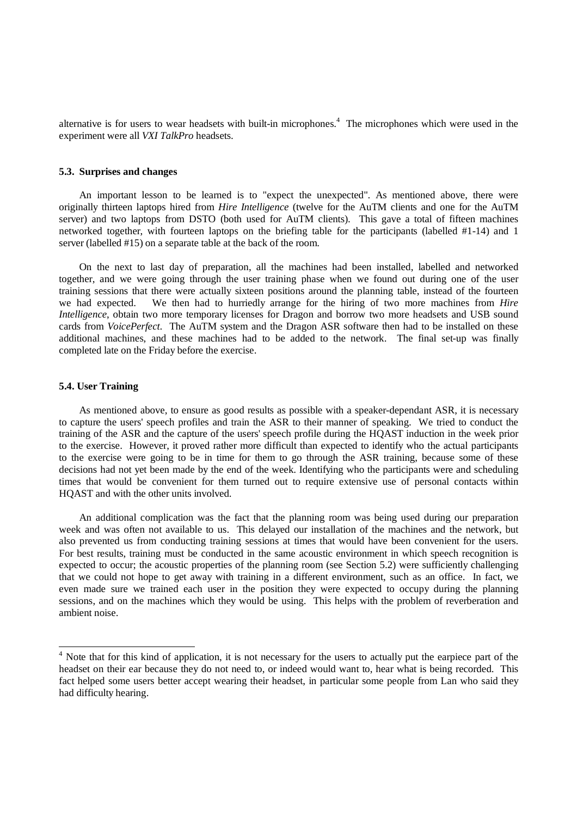alternative is for users to wear headsets with built-in microphones.<sup>4</sup> The microphones which were used in the experiment were all *VXI TalkPro* headsets.

# **5.3. Surprises and changes**

 An important lesson to be learned is to "expect the unexpected". As mentioned above, there were originally thirteen laptops hired from *Hire Intelligence* (twelve for the AuTM clients and one for the AuTM server) and two laptops from DSTO (both used for AuTM clients). This gave a total of fifteen machines networked together, with fourteen laptops on the briefing table for the participants (labelled #1-14) and 1 server (labelled #15) on a separate table at the back of the room.

 On the next to last day of preparation, all the machines had been installed, labelled and networked together, and we were going through the user training phase when we found out during one of the user training sessions that there were actually sixteen positions around the planning table, instead of the fourteen we had expected. We then had to hurriedly arrange for the hiring of two more machines from *Hire Intelligence*, obtain two more temporary licenses for Dragon and borrow two more headsets and USB sound cards from *VoicePerfect*. The AuTM system and the Dragon ASR software then had to be installed on these additional machines, and these machines had to be added to the network. The final set-up was finally completed late on the Friday before the exercise.

#### **5.4. User Training**

 $\overline{a}$ 

 As mentioned above, to ensure as good results as possible with a speaker-dependant ASR, it is necessary to capture the users' speech profiles and train the ASR to their manner of speaking. We tried to conduct the training of the ASR and the capture of the users' speech profile during the HQAST induction in the week prior to the exercise. However, it proved rather more difficult than expected to identify who the actual participants to the exercise were going to be in time for them to go through the ASR training, because some of these decisions had not yet been made by the end of the week. Identifying who the participants were and scheduling times that would be convenient for them turned out to require extensive use of personal contacts within HQAST and with the other units involved.

 An additional complication was the fact that the planning room was being used during our preparation week and was often not available to us. This delayed our installation of the machines and the network, but also prevented us from conducting training sessions at times that would have been convenient for the users. For best results, training must be conducted in the same acoustic environment in which speech recognition is expected to occur; the acoustic properties of the planning room (see Section 5.2) were sufficiently challenging that we could not hope to get away with training in a different environment, such as an office. In fact, we even made sure we trained each user in the position they were expected to occupy during the planning sessions, and on the machines which they would be using. This helps with the problem of reverberation and ambient noise.

<sup>&</sup>lt;sup>4</sup> Note that for this kind of application, it is not necessary for the users to actually put the earpiece part of the headset on their ear because they do not need to, or indeed would want to, hear what is being recorded. This fact helped some users better accept wearing their headset, in particular some people from Lan who said they had difficulty hearing.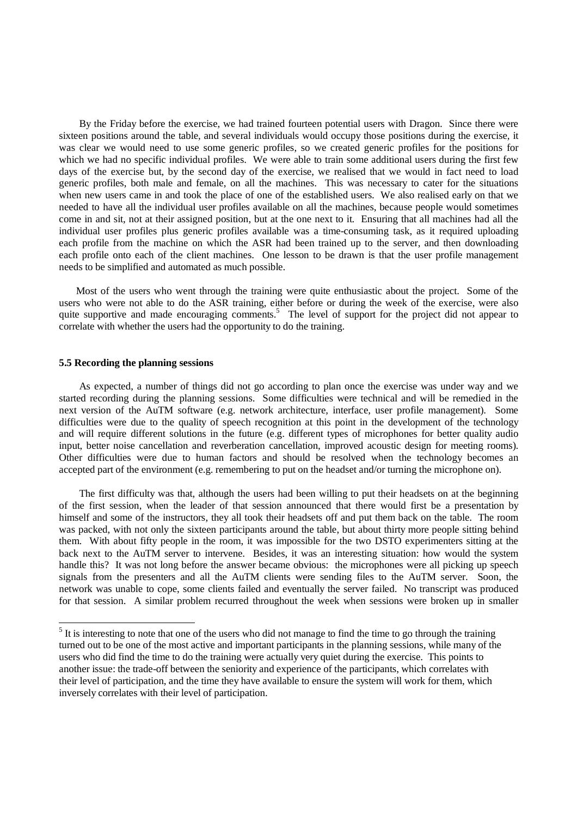By the Friday before the exercise, we had trained fourteen potential users with Dragon. Since there were sixteen positions around the table, and several individuals would occupy those positions during the exercise, it was clear we would need to use some generic profiles, so we created generic profiles for the positions for which we had no specific individual profiles. We were able to train some additional users during the first few days of the exercise but, by the second day of the exercise, we realised that we would in fact need to load generic profiles, both male and female, on all the machines. This was necessary to cater for the situations when new users came in and took the place of one of the established users. We also realised early on that we needed to have all the individual user profiles available on all the machines, because people would sometimes come in and sit, not at their assigned position, but at the one next to it. Ensuring that all machines had all the individual user profiles plus generic profiles available was a time-consuming task, as it required uploading each profile from the machine on which the ASR had been trained up to the server, and then downloading each profile onto each of the client machines. One lesson to be drawn is that the user profile management needs to be simplified and automated as much possible.

Most of the users who went through the training were quite enthusiastic about the project. Some of the users who were not able to do the ASR training, either before or during the week of the exercise, were also quite supportive and made encouraging comments.<sup>5</sup> The level of support for the project did not appear to correlate with whether the users had the opportunity to do the training.

#### **5.5 Recording the planning sessions**

 $\overline{a}$ 

 As expected, a number of things did not go according to plan once the exercise was under way and we started recording during the planning sessions. Some difficulties were technical and will be remedied in the next version of the AuTM software (e.g. network architecture, interface, user profile management). Some difficulties were due to the quality of speech recognition at this point in the development of the technology and will require different solutions in the future (e.g. different types of microphones for better quality audio input, better noise cancellation and reverberation cancellation, improved acoustic design for meeting rooms). Other difficulties were due to human factors and should be resolved when the technology becomes an accepted part of the environment (e.g. remembering to put on the headset and/or turning the microphone on).

 The first difficulty was that, although the users had been willing to put their headsets on at the beginning of the first session, when the leader of that session announced that there would first be a presentation by himself and some of the instructors, they all took their headsets off and put them back on the table. The room was packed, with not only the sixteen participants around the table, but about thirty more people sitting behind them. With about fifty people in the room, it was impossible for the two DSTO experimenters sitting at the back next to the AuTM server to intervene. Besides, it was an interesting situation: how would the system handle this? It was not long before the answer became obvious: the microphones were all picking up speech signals from the presenters and all the AuTM clients were sending files to the AuTM server. Soon, the network was unable to cope, some clients failed and eventually the server failed. No transcript was produced for that session. A similar problem recurred throughout the week when sessions were broken up in smaller

 $<sup>5</sup>$  It is interesting to note that one of the users who did not manage to find the time to go through the training</sup> turned out to be one of the most active and important participants in the planning sessions, while many of the users who did find the time to do the training were actually very quiet during the exercise. This points to another issue: the trade-off between the seniority and experience of the participants, which correlates with their level of participation, and the time they have available to ensure the system will work for them, which inversely correlates with their level of participation.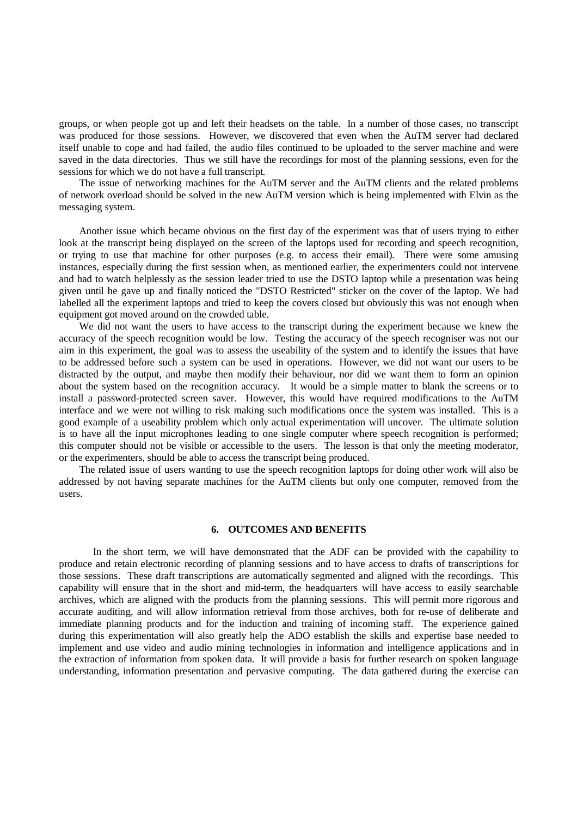groups, or when people got up and left their headsets on the table. In a number of those cases, no transcript was produced for those sessions. However, we discovered that even when the AuTM server had declared itself unable to cope and had failed, the audio files continued to be uploaded to the server machine and were saved in the data directories. Thus we still have the recordings for most of the planning sessions, even for the sessions for which we do not have a full transcript.

 The issue of networking machines for the AuTM server and the AuTM clients and the related problems of network overload should be solved in the new AuTM version which is being implemented with Elvin as the messaging system.

 Another issue which became obvious on the first day of the experiment was that of users trying to either look at the transcript being displayed on the screen of the laptops used for recording and speech recognition, or trying to use that machine for other purposes (e.g. to access their email). There were some amusing instances, especially during the first session when, as mentioned earlier, the experimenters could not intervene and had to watch helplessly as the session leader tried to use the DSTO laptop while a presentation was being given until he gave up and finally noticed the "DSTO Restricted" sticker on the cover of the laptop. We had labelled all the experiment laptops and tried to keep the covers closed but obviously this was not enough when equipment got moved around on the crowded table.

 We did not want the users to have access to the transcript during the experiment because we knew the accuracy of the speech recognition would be low. Testing the accuracy of the speech recogniser was not our aim in this experiment, the goal was to assess the useability of the system and to identify the issues that have to be addressed before such a system can be used in operations. However, we did not want our users to be distracted by the output, and maybe then modify their behaviour, nor did we want them to form an opinion about the system based on the recognition accuracy. It would be a simple matter to blank the screens or to install a password-protected screen saver. However, this would have required modifications to the AuTM interface and we were not willing to risk making such modifications once the system was installed. This is a good example of a useability problem which only actual experimentation will uncover. The ultimate solution is to have all the input microphones leading to one single computer where speech recognition is performed; this computer should not be visible or accessible to the users. The lesson is that only the meeting moderator, or the experimenters, should be able to access the transcript being produced.

 The related issue of users wanting to use the speech recognition laptops for doing other work will also be addressed by not having separate machines for the AuTM clients but only one computer, removed from the users.

## **6. OUTCOMES AND BENEFITS**

 In the short term, we will have demonstrated that the ADF can be provided with the capability to produce and retain electronic recording of planning sessions and to have access to drafts of transcriptions for those sessions. These draft transcriptions are automatically segmented and aligned with the recordings. This capability will ensure that in the short and mid-term, the headquarters will have access to easily searchable archives, which are aligned with the products from the planning sessions. This will permit more rigorous and accurate auditing, and will allow information retrieval from those archives, both for re-use of deliberate and immediate planning products and for the induction and training of incoming staff. The experience gained during this experimentation will also greatly help the ADO establish the skills and expertise base needed to implement and use video and audio mining technologies in information and intelligence applications and in the extraction of information from spoken data. It will provide a basis for further research on spoken language understanding, information presentation and pervasive computing. The data gathered during the exercise can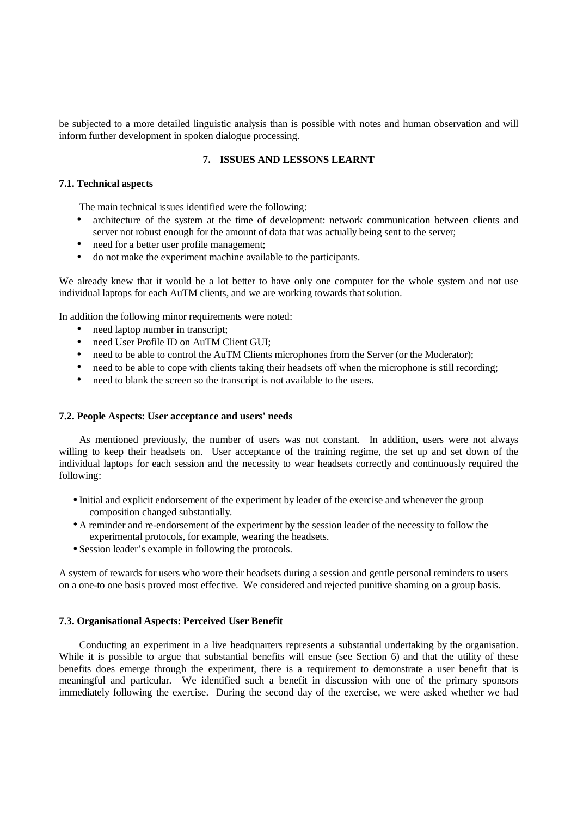be subjected to a more detailed linguistic analysis than is possible with notes and human observation and will inform further development in spoken dialogue processing.

# **7. ISSUES AND LESSONS LEARNT**

# **7.1. Technical aspects**

The main technical issues identified were the following:

- architecture of the system at the time of development: network communication between clients and server not robust enough for the amount of data that was actually being sent to the server;
- need for a better user profile management;
- do not make the experiment machine available to the participants.

We already knew that it would be a lot better to have only one computer for the whole system and not use individual laptops for each AuTM clients, and we are working towards that solution.

In addition the following minor requirements were noted:

- need laptop number in transcript;
- need User Profile ID on AuTM Client GUI:
- need to be able to control the AuTM Clients microphones from the Server (or the Moderator);
- need to be able to cope with clients taking their headsets off when the microphone is still recording;
- need to blank the screen so the transcript is not available to the users.

## **7.2. People Aspects: User acceptance and users' needs**

 As mentioned previously, the number of users was not constant. In addition, users were not always willing to keep their headsets on. User acceptance of the training regime, the set up and set down of the individual laptops for each session and the necessity to wear headsets correctly and continuously required the following:

- Initial and explicit endorsement of the experiment by leader of the exercise and whenever the group composition changed substantially.
- A reminder and re-endorsement of the experiment by the session leader of the necessity to follow the experimental protocols, for example, wearing the headsets.
- Session leader's example in following the protocols.

A system of rewards for users who wore their headsets during a session and gentle personal reminders to users on a one-to one basis proved most effective. We considered and rejected punitive shaming on a group basis.

## **7.3. Organisational Aspects: Perceived User Benefit**

Conducting an experiment in a live headquarters represents a substantial undertaking by the organisation. While it is possible to argue that substantial benefits will ensue (see Section 6) and that the utility of these benefits does emerge through the experiment, there is a requirement to demonstrate a user benefit that is meaningful and particular. We identified such a benefit in discussion with one of the primary sponsors immediately following the exercise. During the second day of the exercise, we were asked whether we had